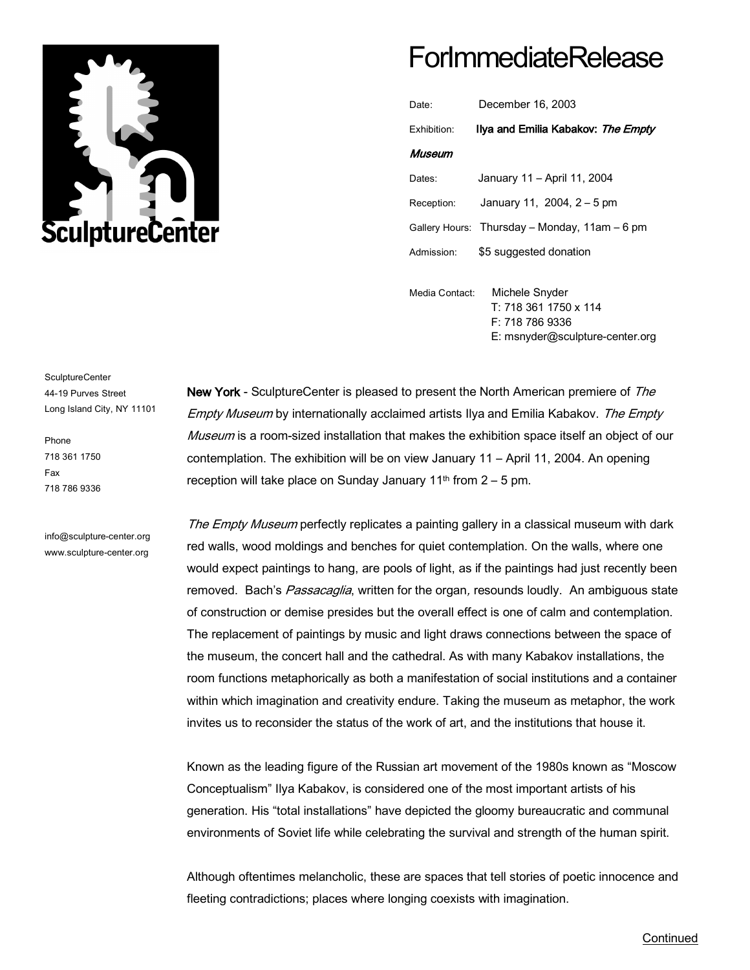

# **ForImmediateRelease**

| Date:                   | December 16, 2003                             |
|-------------------------|-----------------------------------------------|
| Fxhibition <sup>-</sup> | Ilya and Emilia Kabakov: The Empty            |
| Museum                  |                                               |
| Dates:                  | January 11 - April 11, 2004                   |
| Reception:              | January 11, 2004, 2 – 5 pm                    |
|                         | Gallery Hours: Thursday - Monday, 11am - 6 pm |
| Admission <sup>-</sup>  | \$5 suggested donation                        |
|                         |                                               |

Media Contact: Michele Snyder T: 718 361 1750 x 114 F: 718 786 9336 E: msnyder@sculpture-center.org

#### SculptureCenter 44-19 Purves Street Long Island City, NY 11101

Phone 718 361 1750 Fax 718 786 9336

info@sculpture-center.org www.sculpture-center.org

New York - SculptureCenter is pleased to present the North American premiere of The Empty Museum by internationally acclaimed artists Ilya and Emilia Kabakov. The Empty Museum is a room-sized installation that makes the exhibition space itself an object of our contemplation. The exhibition will be on view January 11 – April 11, 2004. An opening reception will take place on Sunday January  $11<sup>th</sup>$  from  $2 - 5$  pm.

The Empty Museum perfectly replicates a painting gallery in a classical museum with dark red walls, wood moldings and benches for quiet contemplation. On the walls, where one would expect paintings to hang, are pools of light, as if the paintings had just recently been removed. Bach's Passacaglia, written for the organ, resounds loudly. An ambiguous state of construction or demise presides but the overall effect is one of calm and contemplation. The replacement of paintings by music and light draws connections between the space of the museum, the concert hall and the cathedral. As with many Kabakov installations, the room functions metaphorically as both a manifestation of social institutions and a container within which imagination and creativity endure. Taking the museum as metaphor, the work invites us to reconsider the status of the work of art, and the institutions that house it.

Known as the leading figure of the Russian art movement of the 1980s known as "Moscow Conceptualism" Ilya Kabakov, is considered one of the most important artists of his generation. His "total installations" have depicted the gloomy bureaucratic and communal environments of Soviet life while celebrating the survival and strength of the human spirit.

Although oftentimes melancholic, these are spaces that tell stories of poetic innocence and fleeting contradictions; places where longing coexists with imagination.